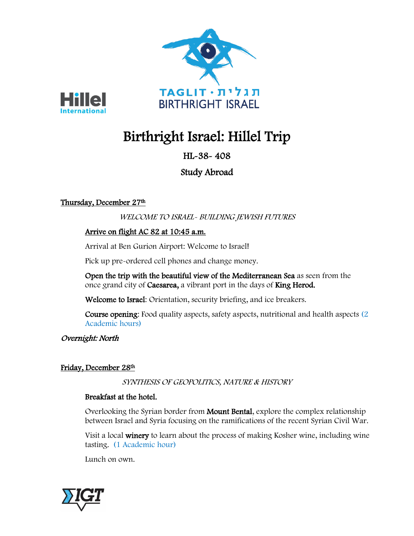



# Birthright Israel: Hillel Trip

# HL-38- 408

# Study Abroad

# Thursday, December 27th

# WELCOME TO ISRAEL- BUILDING JEWISH FUTURES

# Arrive on flight AC 82 at 10:45 a.m.

Arrival at Ben Gurion Airport: Welcome to Israel!

Pick up pre-ordered cell phones and change money.

Open the trip with the beautiful view of the Mediterranean Sea as seen from the once grand city of Caesarea, a vibrant port in the days of King Herod.

Welcome to Israel: Orientation, security briefing, and ice breakers.

Course opening: Food quality aspects, safety aspects, nutritional and health aspects (2 Academic hours)

Overnight: North

## Friday, December 28th

SYNTHESIS OF GEOPOLITICS, NATURE & HISTORY

## Breakfast at the hotel.

Overlooking the Syrian border from Mount Bental, explore the complex relationship between Israel and Syria focusing on the ramifications of the recent Syrian Civil War.

Visit a local winery to learn about the process of making Kosher wine, including wine tasting. (1 Academic hour)

Lunch on own.

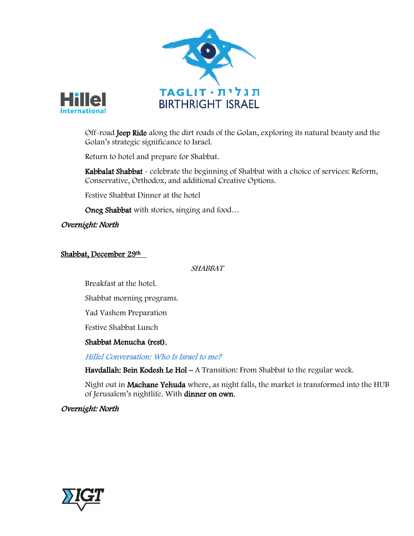



Off-road Jeep Ride along the dirt roads of the Golan, exploring its natural beauty and the Golan's strategic significance to Israel.

Return to hotel and prepare for Shabbat.

Kabbalat Shabbat - celebrate the beginning of Shabbat with a choice of services: Reform, Conservative, Orthodox, and additional Creative Options.

Festive Shabbat Dinner at the hotel

Oneg Shabbat with stories, singing and food…

#### Overnight: North

#### Shabbat, December 29th

#### SHABBAT

Breakfast at the hotel.

Shabbat morning programs.

Yad Vashem Preparation

Festive Shabbat Lunch

#### Shabbat Menucha (rest).

Hillel Conversation: Who Is Israel to me?

Havdallah: Bein Kodesh Le Hol – A Transition: From Shabbat to the regular week.

Night out in Machane Yehuda where, as night falls, the market is transformed into the HUB of Jerusalem's nightlife. With dinner on own.

#### Overnight: North

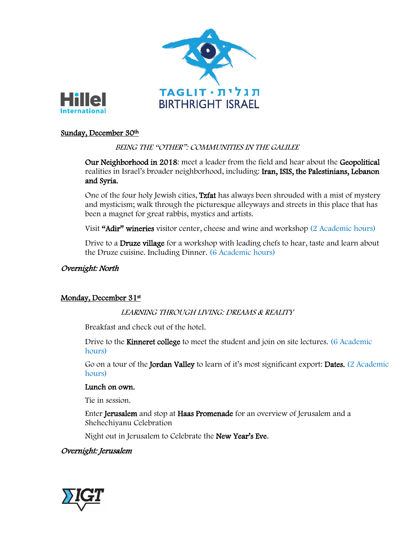



#### Sunday, December 30<sup>th</sup>

#### BEING THE "OTHER": COMMUNITIES IN THE GALILEE

Our Neighborhood in 2018: meet a leader from the field and hear about the Geopolitical realities in Israel's broader neighborhood, including: Iran, ISIS, the Palestinians, Lebanon and Syria.

One of the four holy Jewish cities, Tzfat has always been shrouded with a mist of mystery and mysticism; walk through the picturesque alleyways and streets in this place that has been a magnet for great rabbis, mystics and artists.

Visit "Adir" wineries visitor center, cheese and wine and workshop (2 Academic hours)

Drive to a **Druze village** for a workshop with leading chefs to hear, taste and learn about the Druze cuisine. Including Dinner. (6 Academic hours)

#### Overnight: North

#### Monday, December 31st

LEARNING THROUGH LIVING: DREAMS & REALITY

Breakfast and check out of the hotel.

Drive to the Kinneret college to meet the student and join on site lectures. (6 Academic hours)

Go on a tour of the Jordan Valley to learn of it's most significant export: Dates. (2 Academic hours)

#### Lunch on own.

Tie in session.

Enter Jerusalem and stop at Haas Promenade for an overview of Jerusalem and a Shehechiyanu Celebration

Night out in Jerusalem to Celebrate the New Year's Eve.

#### Overnight: Jerusalem

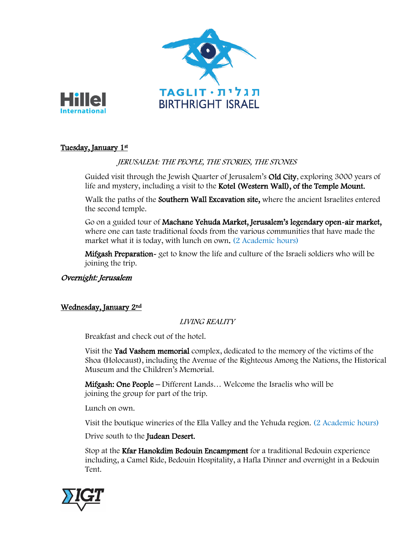



#### Tuesday, January 1st

#### JERUSALEM: THE PEOPLE, THE STORIES, THE STONES

Guided visit through the Jewish Quarter of Jerusalem's Old City, exploring 3000 years of life and mystery, including a visit to the Kotel (Western Wall), of the Temple Mount.

Walk the paths of the Southern Wall Excavation site, where the ancient Israelites entered the second temple.

Go on a guided tour of Machane Yehuda Market, Jerusalem's legendary open-air market, where one can taste traditional foods from the various communities that have made the market what it is today, with lunch on own. (2 Academic hours)

Mifgash Preparation- get to know the life and culture of the Israeli soldiers who will be joining the trip.

#### Overnight: Jerusalem

#### Wednesday, January 2nd

#### LIVING REALITY

Breakfast and check out of the hotel.

Visit the Yad Vashem memorial complex, dedicated to the memory of the victims of the Shoa (Holocaust), including the Avenue of the Righteous Among the Nations, the Historical Museum and the Children's Memorial.

Mifgash: One People – Different Lands… Welcome the Israelis who will be joining the group for part of the trip.

Lunch on own.

Visit the boutique wineries of the Ella Valley and the Yehuda region. (2 Academic hours)

Drive south to the Judean Desert.

Stop at the Kfar Hanokdim Bedouin Encampment for a traditional Bedouin experience including, a Camel Ride, Bedouin Hospitality, a Hafla Dinner and overnight in a Bedouin Tent.

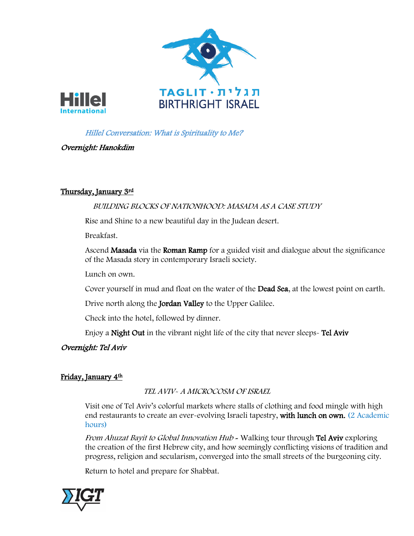



### Hillel Conversation: What is Spirituality to Me?

#### Overnight: Hanokdim

#### Thursday, January 3rd

#### BUILDING BLOCKS OF NATIONHOOD: MASADA AS A CASE STUDY

Rise and Shine to a new beautiful day in the Judean desert.

Breakfast.

Ascend Masada via the Roman Ramp for a guided visit and dialogue about the significance of the Masada story in contemporary Israeli society.

Lunch on own.

Cover yourself in mud and float on the water of the Dead Sea, at the lowest point on earth.

Drive north along the **Jordan Valley** to the Upper Galilee.

Check into the hotel, followed by dinner.

Enjoy a Night Out in the vibrant night life of the city that never sleeps- Tel Aviv

#### Overnight: Tel Aviv

#### Friday, January 4th

TEL AVIV- A MICROCOSM OF ISRAEL

Visit one of Tel Aviv's colorful markets where stalls of clothing and food mingle with high end restaurants to create an ever-evolving Israeli tapestry, with lunch on own. (2 Academic hours)

From Ahuzat Bayit to Global Innovation Hub - Walking tour through Tel Aviv exploring the creation of the first Hebrew city, and how seemingly conflicting visions of tradition and progress, religion and secularism, converged into the small streets of the burgeoning city.

Return to hotel and prepare for Shabbat.

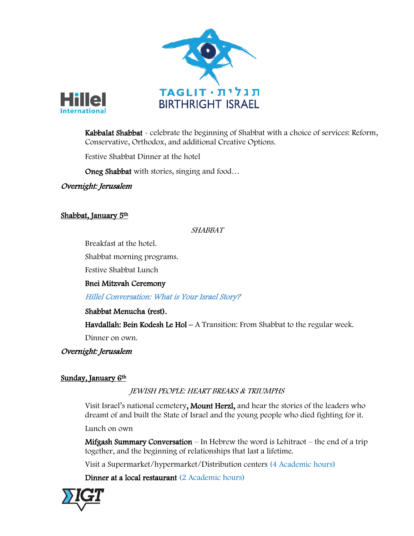



Kabbalat Shabbat - celebrate the beginning of Shabbat with a choice of services: Reform, Conservative, Orthodox, and additional Creative Options.

Festive Shabbat Dinner at the hotel

Oneg Shabbat with stories, singing and food…

Overnight: Jerusalem

#### Shabbat, January 5th

#### SHABBAT

Breakfast at the hotel.

Shabbat morning programs.

Festive Shabbat Lunch

Bnei Mitzvah Ceremony

Hillel Conversation: What is Your Israel Story?

#### Shabbat Menucha (rest).

Havdallah: Bein Kodesh Le Hol – A Transition: From Shabbat to the regular week.

Dinner on own.

Overnight: Jerusalem

#### Sunday, January 6<sup>th</sup>

JEWISH PEOPLE: HEART BREAKS & TRIUMPHS

Visit Israel's national cemetery, Mount Herzl, and hear the stories of the leaders who dreamt of and built the State of Israel and the young people who died fighting for it.

Lunch on own

Mifgash Summary Conversation – In Hebrew the word is Lehitraot – the end of a trip together, and the beginning of relationships that last a lifetime.

Visit a Supermarket/hypermarket/Distribution centers (4 Academic hours)

Dinner at a local restaurant (2 Academic hours)

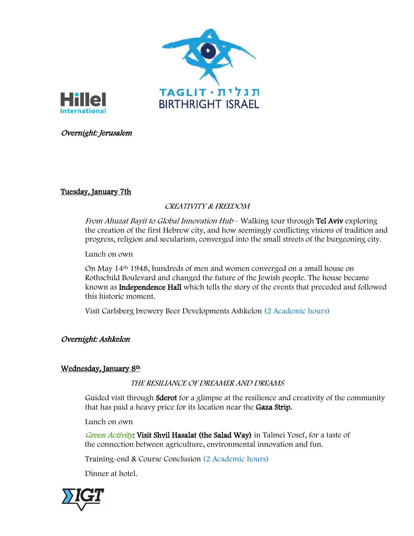



#### Overnight: Jerusalem

#### Tuesday, January 7th

#### CREATIVITY & FREEDOM

From Ahuzat Bayit to Global Innovation Hub - Walking tour through Tel Aviv exploring the creation of the first Hebrew city, and how seemingly conflicting visions of tradition and progress, religion and secularism, converged into the small streets of the burgeoning city.

Lunch on own

On May 14th 1948, hundreds of men and women converged on a small house on Rothschild Boulevard and changed the future of the Jewish people. The house became known as Independence Hall which tells the story of the events that preceded and followed this historic moment.

Visit Carlsberg brewery Beer Developments Ashkelon (2 Academic hours)

#### Overnight: Ashkelon

#### Wednesday, January 8th

THE RESILIANCE OF DREAMER AND DREAMS

Guided visit through **Sderot** for a glimpse at the resilience and creativity of the community that has paid a heavy price for its location near the Gaza Strip.

Lunch on own

Green Activity: Visit Shvil Hasalat (the Salad Way) in Talmei Yosef, for a taste of the connection between agriculture, environmental innovation and fun.

Training-end & Course Conclusion (2 Academic hours)

Dinner at hotel.